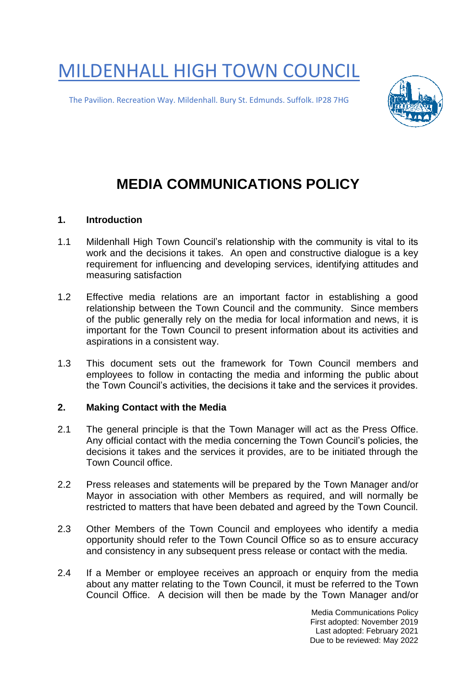MILDENHALL HIGH TOWN COUNCIL

The Pavilion. Recreation Way. Mildenhall. Bury St. Edmunds. Suffolk. IP28 7HG



## **MEDIA COMMUNICATIONS POLICY**

## **1. Introduction**

- 1.1 Mildenhall High Town Council's relationship with the community is vital to its work and the decisions it takes. An open and constructive dialogue is a key requirement for influencing and developing services, identifying attitudes and measuring satisfaction
- 1.2 Effective media relations are an important factor in establishing a good relationship between the Town Council and the community. Since members of the public generally rely on the media for local information and news, it is important for the Town Council to present information about its activities and aspirations in a consistent way.
- 1.3 This document sets out the framework for Town Council members and employees to follow in contacting the media and informing the public about the Town Council's activities, the decisions it take and the services it provides.

## **2. Making Contact with the Media**

- 2.1 The general principle is that the Town Manager will act as the Press Office. Any official contact with the media concerning the Town Council's policies, the decisions it takes and the services it provides, are to be initiated through the Town Council office.
- 2.2 Press releases and statements will be prepared by the Town Manager and/or Mayor in association with other Members as required, and will normally be restricted to matters that have been debated and agreed by the Town Council.
- 2.3 Other Members of the Town Council and employees who identify a media opportunity should refer to the Town Council Office so as to ensure accuracy and consistency in any subsequent press release or contact with the media.
- 2.4 If a Member or employee receives an approach or enquiry from the media about any matter relating to the Town Council, it must be referred to the Town Council Office. A decision will then be made by the Town Manager and/or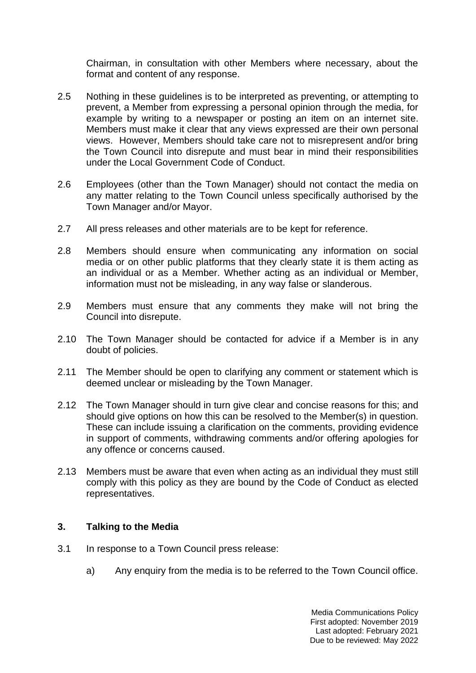Chairman, in consultation with other Members where necessary, about the format and content of any response.

- 2.5 Nothing in these guidelines is to be interpreted as preventing, or attempting to prevent, a Member from expressing a personal opinion through the media, for example by writing to a newspaper or posting an item on an internet site. Members must make it clear that any views expressed are their own personal views. However, Members should take care not to misrepresent and/or bring the Town Council into disrepute and must bear in mind their responsibilities under the Local Government Code of Conduct.
- 2.6 Employees (other than the Town Manager) should not contact the media on any matter relating to the Town Council unless specifically authorised by the Town Manager and/or Mayor.
- 2.7 All press releases and other materials are to be kept for reference.
- 2.8 Members should ensure when communicating any information on social media or on other public platforms that they clearly state it is them acting as an individual or as a Member. Whether acting as an individual or Member, information must not be misleading, in any way false or slanderous.
- 2.9 Members must ensure that any comments they make will not bring the Council into disrepute.
- 2.10 The Town Manager should be contacted for advice if a Member is in any doubt of policies.
- 2.11 The Member should be open to clarifying any comment or statement which is deemed unclear or misleading by the Town Manager.
- 2.12 The Town Manager should in turn give clear and concise reasons for this; and should give options on how this can be resolved to the Member(s) in question. These can include issuing a clarification on the comments, providing evidence in support of comments, withdrawing comments and/or offering apologies for any offence or concerns caused.
- 2.13 Members must be aware that even when acting as an individual they must still comply with this policy as they are bound by the Code of Conduct as elected representatives.

## **3. Talking to the Media**

- 3.1 In response to a Town Council press release:
	- a) Any enquiry from the media is to be referred to the Town Council office.